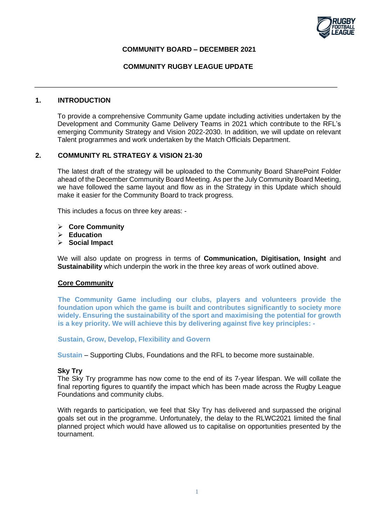

### **COMMUNITY BOARD – DECEMBER 2021**

### **COMMUNITY RUGBY LEAGUE UPDATE**

#### **1. INTRODUCTION**

To provide a comprehensive Community Game update including activities undertaken by the Development and Community Game Delivery Teams in 2021 which contribute to the RFL's emerging Community Strategy and Vision 2022-2030. In addition, we will update on relevant Talent programmes and work undertaken by the Match Officials Department.

### **2. COMMUNITY RL STRATEGY & VISION 21-30**

The latest draft of the strategy will be uploaded to the Community Board SharePoint Folder ahead of the December Community Board Meeting. As per the July Community Board Meeting, we have followed the same layout and flow as in the Strategy in this Update which should make it easier for the Community Board to track progress.

This includes a focus on three key areas: -

- ➢ **Core Community**
- ➢ **Education**
- ➢ **Social Impact**

We will also update on progress in terms of **Communication, Digitisation, Insight** and **Sustainability** which underpin the work in the three key areas of work outlined above.

#### **Core Community**

**The Community Game including our clubs, players and volunteers provide the foundation upon which the game is built and contributes significantly to society more widely. Ensuring the sustainability of the sport and maximising the potential for growth is a key priority. We will achieve this by delivering against five key principles: -**

**Sustain, Grow, Develop, Flexibility and Govern**

**Sustain** – Supporting Clubs, Foundations and the RFL to become more sustainable.

#### **Sky Try**

The Sky Try programme has now come to the end of its 7-year lifespan. We will collate the final reporting figures to quantify the impact which has been made across the Rugby League Foundations and community clubs.

With regards to participation, we feel that Sky Try has delivered and surpassed the original goals set out in the programme. Unfortunately, the delay to the RLWC2021 limited the final planned project which would have allowed us to capitalise on opportunities presented by the tournament.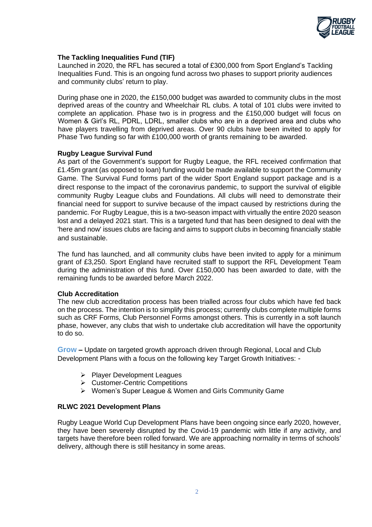

## **The Tackling Inequalities Fund (TIF)**

Launched in 2020, the RFL has secured a total of £300,000 from Sport England's Tackling Inequalities Fund. This is an ongoing fund across two phases to support priority audiences and community clubs' return to play.

During phase one in 2020, the £150,000 budget was awarded to community clubs in the most deprived areas of the country and Wheelchair RL clubs. A total of 101 clubs were invited to complete an application. Phase two is in progress and the £150,000 budget will focus on Women & Girl's RL, PDRL, LDRL, smaller clubs who are in a deprived area and clubs who have players travelling from deprived areas. Over 90 clubs have been invited to apply for Phase Two funding so far with £100,000 worth of grants remaining to be awarded.

### **Rugby League Survival Fund**

As part of the Government's support for Rugby League, the RFL received confirmation that £1.45m grant (as opposed to loan) funding would be made available to support the Community Game. The Survival Fund forms part of the wider Sport England support package and is a direct response to the impact of the coronavirus pandemic, to support the survival of eligible community Rugby League clubs and Foundations. All clubs will need to demonstrate their financial need for support to survive because of the impact caused by restrictions during the pandemic. For Rugby League, this is a two-season impact with virtually the entire 2020 season lost and a delayed 2021 start. This is a targeted fund that has been designed to deal with the 'here and now' issues clubs are facing and aims to support clubs in becoming financially stable and sustainable.

The fund has launched, and all community clubs have been invited to apply for a minimum grant of £3,250. Sport England have recruited staff to support the RFL Development Team during the administration of this fund. Over £150,000 has been awarded to date, with the remaining funds to be awarded before March 2022.

## **Club Accreditation**

The new club accreditation process has been trialled across four clubs which have fed back on the process. The intention is to simplify this process; currently clubs complete multiple forms such as CRF Forms, Club Personnel Forms amongst others. This is currently in a soft launch phase, however, any clubs that wish to undertake club accreditation will have the opportunity to do so.

**Grow –** Update on targeted growth approach driven through Regional, Local and Club Development Plans with a focus on the following key Target Growth Initiatives: -

- ➢ Player Development Leagues
- ➢ Customer-Centric Competitions
- ➢ Women's Super League & Women and Girls Community Game

## **RLWC 2021 Development Plans**

Rugby League World Cup Development Plans have been ongoing since early 2020, however, they have been severely disrupted by the Covid-19 pandemic with little if any activity, and targets have therefore been rolled forward. We are approaching normality in terms of schools' delivery, although there is still hesitancy in some areas.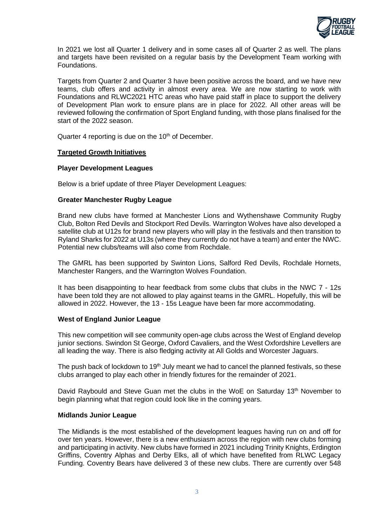

In 2021 we lost all Quarter 1 delivery and in some cases all of Quarter 2 as well. The plans and targets have been revisited on a regular basis by the Development Team working with Foundations.

Targets from Quarter 2 and Quarter 3 have been positive across the board, and we have new teams, club offers and activity in almost every area. We are now starting to work with Foundations and RLWC2021 HTC areas who have paid staff in place to support the delivery of Development Plan work to ensure plans are in place for 2022. All other areas will be reviewed following the confirmation of Sport England funding, with those plans finalised for the start of the 2022 season.

Quarter 4 reporting is due on the  $10<sup>th</sup>$  of December.

### **Targeted Growth Initiatives**

### **Player Development Leagues**

Below is a brief update of three Player Development Leagues:

### **Greater Manchester Rugby League**

Brand new clubs have formed at Manchester Lions and Wythenshawe Community Rugby Club, Bolton Red Devils and Stockport Red Devils. Warrington Wolves have also developed a satellite club at U12s for brand new players who will play in the festivals and then transition to Ryland Sharks for 2022 at U13s (where they currently do not have a team) and enter the NWC. Potential new clubs/teams will also come from Rochdale.

The GMRL has been supported by Swinton Lions, Salford Red Devils, Rochdale Hornets, Manchester Rangers, and the Warrington Wolves Foundation.

It has been disappointing to hear feedback from some clubs that clubs in the NWC 7 - 12s have been told they are not allowed to play against teams in the GMRL. Hopefully, this will be allowed in 2022. However, the 13 - 15s League have been far more accommodating.

#### **West of England Junior League**

This new competition will see community open-age clubs across the West of England develop junior sections. Swindon St George, Oxford Cavaliers, and the West Oxfordshire Levellers are all leading the way. There is also fledging activity at All Golds and Worcester Jaguars.

The push back of lockdown to 19<sup>th</sup> July meant we had to cancel the planned festivals, so these clubs arranged to play each other in friendly fixtures for the remainder of 2021.

David Raybould and Steve Guan met the clubs in the WoE on Saturday  $13<sup>th</sup>$  November to begin planning what that region could look like in the coming years.

#### **Midlands Junior League**

The Midlands is the most established of the development leagues having run on and off for over ten years. However, there is a new enthusiasm across the region with new clubs forming and participating in activity. New clubs have formed in 2021 including Trinity Knights, Erdington Griffins, Coventry Alphas and Derby Elks, all of which have benefited from RLWC Legacy Funding. Coventry Bears have delivered 3 of these new clubs. There are currently over 548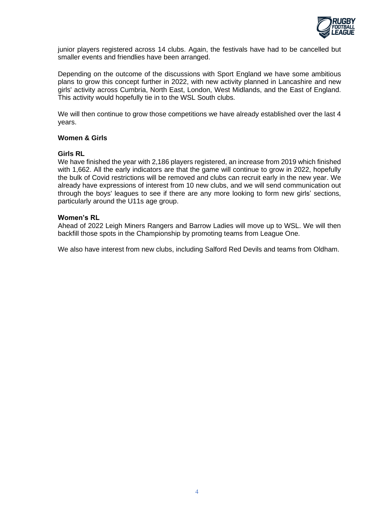

junior players registered across 14 clubs. Again, the festivals have had to be cancelled but smaller events and friendlies have been arranged.

Depending on the outcome of the discussions with Sport England we have some ambitious plans to grow this concept further in 2022, with new activity planned in Lancashire and new girls' activity across Cumbria, North East, London, West Midlands, and the East of England. This activity would hopefully tie in to the WSL South clubs.

We will then continue to grow those competitions we have already established over the last 4 years.

### **Women & Girls**

#### **Girls RL**

We have finished the year with 2,186 players registered, an increase from 2019 which finished with 1,662. All the early indicators are that the game will continue to grow in 2022, hopefully the bulk of Covid restrictions will be removed and clubs can recruit early in the new year. We already have expressions of interest from 10 new clubs, and we will send communication out through the boys' leagues to see if there are any more looking to form new girls' sections, particularly around the U11s age group.

#### **Women's RL**

Ahead of 2022 Leigh Miners Rangers and Barrow Ladies will move up to WSL. We will then backfill those spots in the Championship by promoting teams from League One.

We also have interest from new clubs, including Salford Red Devils and teams from Oldham.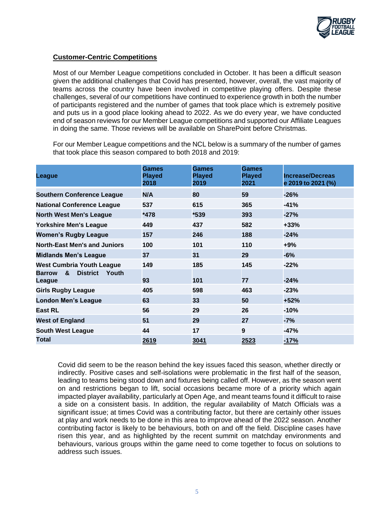

## **Customer-Centric Competitions**

Most of our Member League competitions concluded in October. It has been a difficult season given the additional challenges that Covid has presented, however, overall, the vast majority of teams across the country have been involved in competitive playing offers. Despite these challenges, several of our competitions have continued to experience growth in both the number of participants registered and the number of games that took place which is extremely positive and puts us in a good place looking ahead to 2022. As we do every year, we have conducted end of season reviews for our Member League competitions and supported our Affiliate Leagues in doing the same. Those reviews will be available on SharePoint before Christmas.

For our Member League competitions and the NCL below is a summary of the number of games that took place this season compared to both 2018 and 2019:

| League                                                   | Games<br><b>Played</b><br>2018 | <b>Games</b><br><b>Played</b><br>2019 | Games<br><b>Played</b><br>2021 | <b>Increase/Decreas</b><br>e 2019 to 2021 (%) |
|----------------------------------------------------------|--------------------------------|---------------------------------------|--------------------------------|-----------------------------------------------|
| <b>Southern Conference League</b>                        | N/A                            | 80                                    | 59                             | -26%                                          |
| <b>National Conference League</b>                        | 537                            | 615                                   | 365                            | $-41%$                                        |
| <b>North West Men's League</b>                           | *478                           | $*539$                                | 393                            | $-27%$                                        |
| <b>Yorkshire Men's League</b>                            | 449                            | 437                                   | 582                            | +33%                                          |
| <b>Women's Rugby League</b>                              | 157                            | 246                                   | 188                            | $-24%$                                        |
| <b>North-East Men's and Juniors</b>                      | 100                            | 101                                   | 110                            | +9%                                           |
| <b>Midlands Men's League</b>                             | 37                             | 31                                    | 29                             | -6%                                           |
| <b>West Cumbria Youth League</b>                         | 149                            | 185                                   | 145                            | $-22%$                                        |
| &<br><b>District</b><br>Youth<br><b>Barrow</b><br>League | 93                             | 101                                   | 77                             | $-24%$                                        |
| <b>Girls Rugby League</b>                                | 405                            | 598                                   | 463                            | $-23%$                                        |
| <b>London Men's League</b>                               | 63                             | 33                                    | 50                             | +52%                                          |
| East RL                                                  | 56                             | 29                                    | 26                             | -10%                                          |
| <b>West of England</b>                                   | 51                             | 29                                    | 27                             | $-7%$                                         |
| <b>South West League</b>                                 | 44                             | 17                                    | 9                              | -47%                                          |
| <b>Total</b>                                             | 2619                           | 3041                                  | 2523                           | $-17%$                                        |

Covid did seem to be the reason behind the key issues faced this season, whether directly or indirectly. Positive cases and self-isolations were problematic in the first half of the season, leading to teams being stood down and fixtures being called off. However, as the season went on and restrictions began to lift, social occasions became more of a priority which again impacted player availability, particularly at Open Age, and meant teams found it difficult to raise a side on a consistent basis. In addition, the regular availability of Match Officials was a significant issue; at times Covid was a contributing factor, but there are certainly other issues at play and work needs to be done in this area to improve ahead of the 2022 season. Another contributing factor is likely to be behaviours, both on and off the field. Discipline cases have risen this year, and as highlighted by the recent summit on matchday environments and behaviours, various groups within the game need to come together to focus on solutions to address such issues.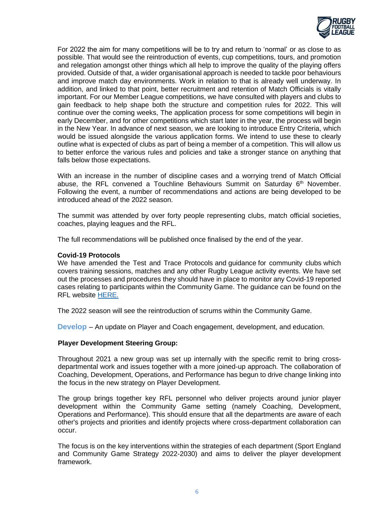

For 2022 the aim for many competitions will be to try and return to 'normal' or as close to as possible. That would see the reintroduction of events, cup competitions, tours, and promotion and relegation amongst other things which all help to improve the quality of the playing offers provided. Outside of that, a wider organisational approach is needed to tackle poor behaviours and improve match day environments. Work in relation to that is already well underway. In addition, and linked to that point, better recruitment and retention of Match Officials is vitally important. For our Member League competitions, we have consulted with players and clubs to gain feedback to help shape both the structure and competition rules for 2022. This will continue over the coming weeks, The application process for some competitions will begin in early December, and for other competitions which start later in the year, the process will begin in the New Year. In advance of next season, we are looking to introduce Entry Criteria, which would be issued alongside the various application forms. We intend to use these to clearly outline what is expected of clubs as part of being a member of a competition. This will allow us to better enforce the various rules and policies and take a stronger stance on anything that falls below those expectations.

With an increase in the number of discipline cases and a worrying trend of Match Official abuse, the RFL convened a Touchline Behaviours Summit on Saturday  $6<sup>th</sup>$  November. Following the event, a number of recommendations and actions are being developed to be introduced ahead of the 2022 season.

The summit was attended by over forty people representing clubs, match official societies, coaches, playing leagues and the RFL.

The full recommendations will be published once finalised by the end of the year.

#### **Covid-19 Protocols**

We have amended the Test and Trace Protocols and guidance for community clubs which covers training sessions, matches and any other Rugby League activity events. We have set out the processes and procedures they should have in place to monitor any Covid-19 reported cases relating to participants within the Community Game. The guidance can be found on the RFL website [HERE.](https://www.rugby-league.com/uploads/docs/Community%20Game%20Covid%20Regulations%20-%20November%20Update.pdf)

The 2022 season will see the reintroduction of scrums within the Community Game.

**Develop** – An update on Player and Coach engagement, development, and education.

#### **Player Development Steering Group:**

Throughout 2021 a new group was set up internally with the specific remit to bring crossdepartmental work and issues together with a more joined-up approach. The collaboration of Coaching, Development, Operations, and Performance has begun to drive change linking into the focus in the new strategy on Player Development.

The group brings together key RFL personnel who deliver projects around junior player development within the Community Game setting (namely Coaching, Development, Operations and Performance). This should ensure that all the departments are aware of each other's projects and priorities and identify projects where cross-department collaboration can occur.

The focus is on the key interventions within the strategies of each department (Sport England and Community Game Strategy 2022-2030) and aims to deliver the player development framework.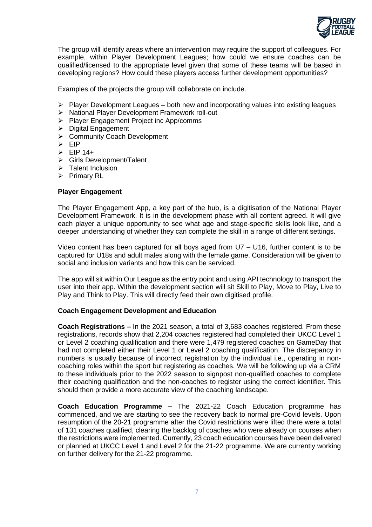

The group will identify areas where an intervention may require the support of colleagues. For example, within Player Development Leagues; how could we ensure coaches can be qualified/licensed to the appropriate level given that some of these teams will be based in developing regions? How could these players access further development opportunities?

Examples of the projects the group will collaborate on include.

- $\triangleright$  Player Development Leagues both new and incorporating values into existing leagues
- ➢ National Player Development Framework roll-out
- ➢ Player Engagement Project inc App/comms
- ➢ Digital Engagement
- ➢ Community Coach Development
- ➢ EtP
- $\triangleright$  EtP 14+
- ➢ Girls Development/Talent
- ➢ Talent Inclusion
- ➢ Primary RL

### **Player Engagement**

The Player Engagement App, a key part of the hub, is a digitisation of the National Player Development Framework. It is in the development phase with all content agreed. It will give each player a unique opportunity to see what age and stage-specific skills look like, and a deeper understanding of whether they can complete the skill in a range of different settings.

Video content has been captured for all boys aged from U7 – U16, further content is to be captured for U18s and adult males along with the female game. Consideration will be given to social and inclusion variants and how this can be serviced.

The app will sit within Our League as the entry point and using API technology to transport the user into their app. Within the development section will sit Skill to Play, Move to Play, Live to Play and Think to Play. This will directly feed their own digitised profile.

#### **Coach Engagement Development and Education**

**Coach Registrations –** In the 2021 season, a total of 3,683 coaches registered. From these registrations, records show that 2,204 coaches registered had completed their UKCC Level 1 or Level 2 coaching qualification and there were 1,479 registered coaches on GameDay that had not completed either their Level 1 or Level 2 coaching qualification. The discrepancy in numbers is usually because of incorrect registration by the individual i.e., operating in noncoaching roles within the sport but registering as coaches. We will be following up via a CRM to these individuals prior to the 2022 season to signpost non-qualified coaches to complete their coaching qualification and the non-coaches to register using the correct identifier. This should then provide a more accurate view of the coaching landscape.

**Coach Education Programme –** The 2021-22 Coach Education programme has commenced, and we are starting to see the recovery back to normal pre-Covid levels. Upon resumption of the 20-21 programme after the Covid restrictions were lifted there were a total of 131 coaches qualified, clearing the backlog of coaches who were already on courses when the restrictions were implemented. Currently, 23 coach education courses have been delivered or planned at UKCC Level 1 and Level 2 for the 21-22 programme. We are currently working on further delivery for the 21-22 programme.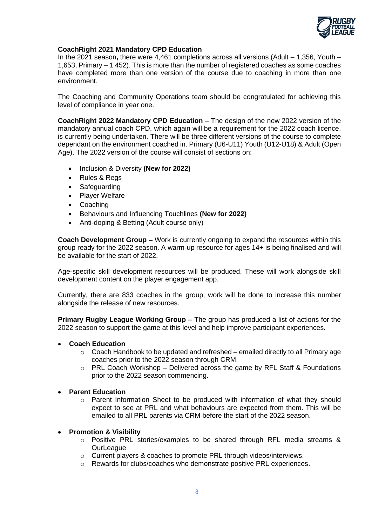

### **CoachRight 2021 Mandatory CPD Education**

In the 2021 season**,** there were 4,461 completions across all versions (Adult – 1,356, Youth – 1,653, Primary – 1,452). This is more than the number of registered coaches as some coaches have completed more than one version of the course due to coaching in more than one environment.

The Coaching and Community Operations team should be congratulated for achieving this level of compliance in year one.

**CoachRight 2022 Mandatory CPD Education** – The design of the new 2022 version of the mandatory annual coach CPD, which again will be a requirement for the 2022 coach licence, is currently being undertaken. There will be three different versions of the course to complete dependant on the environment coached in. Primary (U6-U11) Youth (U12-U18) & Adult (Open Age). The 2022 version of the course will consist of sections on:

- Inclusion & Diversity **(New for 2022)**
- Rules & Regs
- Safeguarding
- Player Welfare
- Coaching
- Behaviours and Influencing Touchlines **(New for 2022)**
- Anti-doping & Betting (Adult course only)

**Coach Development Group –** Work is currently ongoing to expand the resources within this group ready for the 2022 season. A warm-up resource for ages 14+ is being finalised and will be available for the start of 2022.

Age-specific skill development resources will be produced. These will work alongside skill development content on the player engagement app.

Currently, there are 833 coaches in the group; work will be done to increase this number alongside the release of new resources.

**Primary Rugby League Working Group –** The group has produced a list of actions for the 2022 season to support the game at this level and help improve participant experiences.

## • **Coach Education**

- o Coach Handbook to be updated and refreshed emailed directly to all Primary age coaches prior to the 2022 season through CRM.
- $\circ$  PRL Coach Workshop Delivered across the game by RFL Staff & Foundations prior to the 2022 season commencing.

## • **Parent Education**

o Parent Information Sheet to be produced with information of what they should expect to see at PRL and what behaviours are expected from them. This will be emailed to all PRL parents via CRM before the start of the 2022 season.

## • **Promotion & Visibility**

- o Positive PRL stories/examples to be shared through RFL media streams & **OurLeague**
- o Current players & coaches to promote PRL through videos/interviews.
- o Rewards for clubs/coaches who demonstrate positive PRL experiences.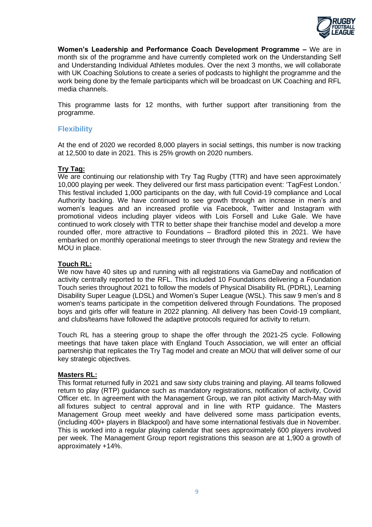

**Women's Leadership and Performance Coach Development Programme –** We are in month six of the programme and have currently completed work on the Understanding Self and Understanding Individual Athletes modules. Over the next 3 months, we will collaborate with UK Coaching Solutions to create a series of podcasts to highlight the programme and the work being done by the female participants which will be broadcast on UK Coaching and RFL media channels.

This programme lasts for 12 months, with further support after transitioning from the programme.

# **Flexibility**

At the end of 2020 we recorded 8,000 players in social settings, this number is now tracking at 12,500 to date in 2021. This is 25% growth on 2020 numbers.

## **Try Tag:**

We are continuing our relationship with Try Tag Rugby (TTR) and have seen approximately 10,000 playing per week. They delivered our first mass participation event: 'TagFest London.' This festival included 1,000 participants on the day, with full Covid-19 compliance and Local Authority backing. We have continued to see growth through an increase in men's and women's leagues and an increased profile via Facebook, Twitter and Instagram with promotional videos including player videos with Lois Forsell and Luke Gale. We have continued to work closely with TTR to better shape their franchise model and develop a more rounded offer, more attractive to Foundations – Bradford piloted this in 2021. We have embarked on monthly operational meetings to steer through the new Strategy and review the MOU in place.

## **Touch RL:**

We now have 40 sites up and running with all registrations via GameDay and notification of activity centrally reported to the RFL. This included 10 Foundations delivering a Foundation Touch series throughout 2021 to follow the models of Physical Disability RL (PDRL), Learning Disability Super League (LDSL) and Women's Super League (WSL). This saw 9 men's and 8 women's teams participate in the competition delivered through Foundations. The proposed boys and girls offer will feature in 2022 planning. All delivery has been Covid-19 compliant, and clubs/teams have followed the adaptive protocols required for activity to return.

Touch RL has a steering group to shape the offer through the 2021-25 cycle. Following meetings that have taken place with England Touch Association, we will enter an official partnership that replicates the Try Tag model and create an MOU that will deliver some of our key strategic objectives.

## **Masters RL:**

This format returned fully in 2021 and saw sixty clubs training and playing. All teams followed return to play (RTP) guidance such as mandatory registrations, notification of activity, Covid Officer etc. In agreement with the Management Group, we ran pilot activity March-May with all fixtures subject to central approval and in line with RTP guidance. The Masters Management Group meet weekly and have delivered some mass participation events, (including 400+ players in Blackpool) and have some international festivals due in November. This is worked into a regular playing calendar that sees approximately 600 players involved per week. The Management Group report registrations this season are at 1,900 a growth of approximately +14%.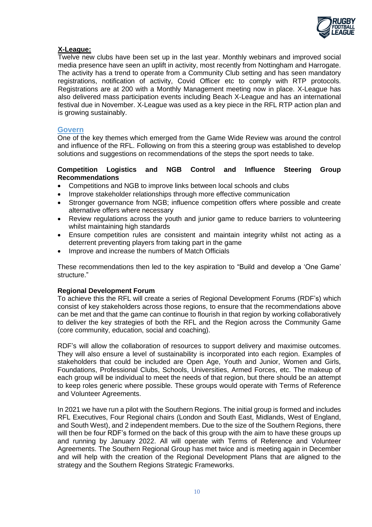

## **X-League:**

Twelve new clubs have been set up in the last year. Monthly webinars and improved social media presence have seen an uplift in activity, most recently from Nottingham and Harrogate. The activity has a trend to operate from a Community Club setting and has seen mandatory registrations, notification of activity, Covid Officer etc to comply with RTP protocols. Registrations are at 200 with a Monthly Management meeting now in place. X-League has also delivered mass participation events including Beach X-League and has an international festival due in November. X-League was used as a key piece in the RFL RTP action plan and is growing sustainably.

## **Govern**

One of the key themes which emerged from the Game Wide Review was around the control and influence of the RFL. Following on from this a steering group was established to develop solutions and suggestions on recommendations of the steps the sport needs to take.

### **Competition Logistics and NGB Control and Influence Steering Group Recommendations**

- Competitions and NGB to improve links between local schools and clubs
- Improve stakeholder relationships through more effective communication
- Stronger governance from NGB; influence competition offers where possible and create alternative offers where necessary
- Review regulations across the youth and junior game to reduce barriers to volunteering whilst maintaining high standards
- Ensure competition rules are consistent and maintain integrity whilst not acting as a deterrent preventing players from taking part in the game
- Improve and increase the numbers of Match Officials

These recommendations then led to the key aspiration to "Build and develop a 'One Game' structure."

## **Regional Development Forum**

To achieve this the RFL will create a series of Regional Development Forums (RDF's) which consist of key stakeholders across those regions, to ensure that the recommendations above can be met and that the game can continue to flourish in that region by working collaboratively to deliver the key strategies of both the RFL and the Region across the Community Game (core community, education, social and coaching).

RDF's will allow the collaboration of resources to support delivery and maximise outcomes. They will also ensure a level of sustainability is incorporated into each region. Examples of stakeholders that could be included are Open Age, Youth and Junior, Women and Girls, Foundations, Professional Clubs, Schools, Universities, Armed Forces, etc. The makeup of each group will be individual to meet the needs of that region, but there should be an attempt to keep roles generic where possible. These groups would operate with Terms of Reference and Volunteer Agreements.

In 2021 we have run a pilot with the Southern Regions. The initial group is formed and includes RFL Executives, Four Regional chairs (London and South East, Midlands, West of England, and South West), and 2 independent members. Due to the size of the Southern Regions, there will then be four RDF's formed on the back of this group with the aim to have these groups up and running by January 2022. All will operate with Terms of Reference and Volunteer Agreements. The Southern Regional Group has met twice and is meeting again in December and will help with the creation of the Regional Development Plans that are aligned to the strategy and the Southern Regions Strategic Frameworks.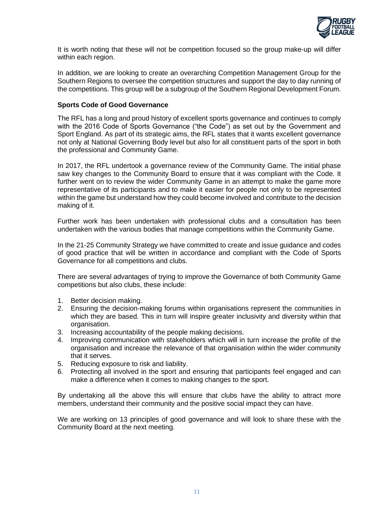

It is worth noting that these will not be competition focused so the group make-up will differ within each region.

In addition, we are looking to create an overarching Competition Management Group for the Southern Regions to oversee the competition structures and support the day to day running of the competitions. This group will be a subgroup of the Southern Regional Development Forum.

### **Sports Code of Good Governance**

The RFL has a long and proud history of excellent sports governance and continues to comply with the 2016 Code of Sports Governance ("the Code") as set out by the Government and Sport England. As part of its strategic aims, the RFL states that it wants excellent governance not only at National Governing Body level but also for all constituent parts of the sport in both the professional and Community Game.

In 2017, the RFL undertook a governance review of the Community Game. The initial phase saw key changes to the Community Board to ensure that it was compliant with the Code. It further went on to review the wider Community Game in an attempt to make the game more representative of its participants and to make it easier for people not only to be represented within the game but understand how they could become involved and contribute to the decision making of it.

Further work has been undertaken with professional clubs and a consultation has been undertaken with the various bodies that manage competitions within the Community Game.

In the 21-25 Community Strategy we have committed to create and issue guidance and codes of good practice that will be written in accordance and compliant with the Code of Sports Governance for all competitions and clubs.

There are several advantages of trying to improve the Governance of both Community Game competitions but also clubs, these include:

- 1. Better decision making.
- 2. Ensuring the decision-making forums within organisations represent the communities in which they are based. This in turn will inspire greater inclusivity and diversity within that organisation.
- 3. Increasing accountability of the people making decisions.
- 4. Improving communication with stakeholders which will in turn increase the profile of the organisation and increase the relevance of that organisation within the wider community that it serves.
- 5. Reducing exposure to risk and liability.
- 6. Protecting all involved in the sport and ensuring that participants feel engaged and can make a difference when it comes to making changes to the sport.

By undertaking all the above this will ensure that clubs have the ability to attract more members, understand their community and the positive social impact they can have.

We are working on 13 principles of good governance and will look to share these with the Community Board at the next meeting.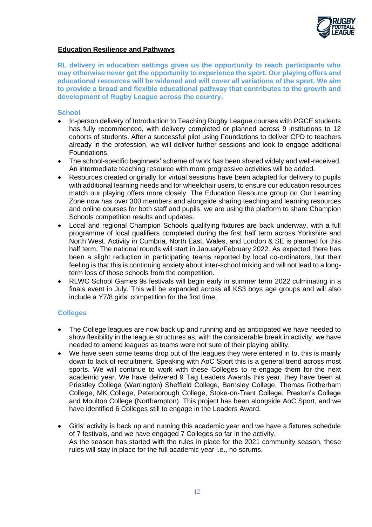

## **Education Resilience and Pathways**

**RL delivery in education settings gives us the opportunity to reach participants who may otherwise never get the opportunity to experience the sport. Our playing offers and educational resources will be widened and will cover all variations of the sport. We aim to provide a broad and flexible educational pathway that contributes to the growth and development of Rugby League across the country.**

#### **School**

- In-person delivery of Introduction to Teaching Rugby League courses with PGCE students has fully recommenced, with delivery completed or planned across 9 institutions to 12 cohorts of students. After a successful pilot using Foundations to deliver CPD to teachers already in the profession, we will deliver further sessions and look to engage additional Foundations.
- The school-specific beginners' scheme of work has been shared widely and well-received. An intermediate teaching resource with more progressive activities will be added.
- Resources created originally for virtual sessions have been adapted for delivery to pupils with additional learning needs and for wheelchair users, to ensure our education resources match our playing offers more closely. The Education Resource group on Our Learning Zone now has over 300 members and alongside sharing teaching and learning resources and online courses for both staff and pupils, we are using the platform to share Champion Schools competition results and updates.
- Local and regional Champion Schools qualifying fixtures are back underway, with a full programme of local qualifiers completed during the first half term across Yorkshire and North West. Activity in Cumbria, North East, Wales, and London & SE is planned for this half term. The national rounds will start in January/February 2022. As expected there has been a slight reduction in participating teams reported by local co-ordinators, but their feeling is that this is continuing anxiety about inter-school mixing and will not lead to a longterm loss of those schools from the competition.
- RLWC School Games 9s festivals will begin early in summer term 2022 culminating in a finals event in July. This will be expanded across all KS3 boys age groups and will also include a Y7/8 girls' competition for the first time.

## **Colleges**

- The College leagues are now back up and running and as anticipated we have needed to show flexibility in the league structures as, with the considerable break in activity, we have needed to amend leagues as teams were not sure of their playing ability.
- We have seen some teams drop out of the leagues they were entered in to, this is mainly down to lack of recruitment. Speaking with AoC Sport this is a general trend across most sports. We will continue to work with these Colleges to re-engage them for the next academic year. We have delivered 9 Tag Leaders Awards this year, they have been at Priestley College (Warrington) Sheffield College, Barnsley College, Thomas Rotherham College, MK College, Peterborough College, Stoke-on-Trent College, Preston's College and Moulton College (Northampton). This project has been alongside AoC Sport, and we have identified 6 Colleges still to engage in the Leaders Award.
- Girls' activity is back up and running this academic year and we have a fixtures schedule of 7 festivals, and we have engaged 7 Colleges so far in the activity. As the season has started with the rules in place for the 2021 community season, these rules will stay in place for the full academic year i.e., no scrums.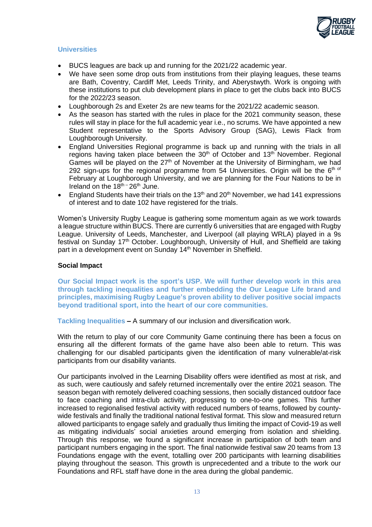

### **Universities**

- BUCS leagues are back up and running for the 2021/22 academic year.
- We have seen some drop outs from institutions from their playing leagues, these teams are Bath, Coventry, Cardiff Met, Leeds Trinity, and Aberystwyth. Work is ongoing with these institutions to put club development plans in place to get the clubs back into BUCS for the 2022/23 season.
- Loughborough 2s and Exeter 2s are new teams for the 2021/22 academic season.
- As the season has started with the rules in place for the 2021 community season, these rules will stay in place for the full academic year i.e., no scrums. We have appointed a new Student representative to the Sports Advisory Group (SAG), Lewis Flack from Loughborough University.
- England Universities Regional programme is back up and running with the trials in all regions having taken place between the 30<sup>th</sup> of October and 13<sup>th</sup> November. Regional Games will be played on the  $27<sup>th</sup>$  of November at the University of Birmingham, we had 292 sign-ups for the regional programme from 54 Universities. Origin will be the  $6<sup>th of</sup>$ February at Loughborough University, and we are planning for the Four Nations to be in Ireland on the  $18^{th}$  –  $26^{th}$  June.
- England Students have their trials on the 13<sup>th</sup> and 20<sup>th</sup> November, we had 141 expressions of interest and to date 102 have registered for the trials.

Women's University Rugby League is gathering some momentum again as we work towards a league structure within BUCS. There are currently 6 universities that are engaged with Rugby League. University of Leeds, Manchester, and Liverpool (all playing WRLA) played in a 9s festival on Sunday 17<sup>th</sup> October. Loughborough, University of Hull, and Sheffield are taking part in a development event on Sunday 14<sup>th</sup> November in Sheffield.

#### **Social Impact**

**Our Social Impact work is the sport's USP. We will further develop work in this area through tackling inequalities and further embedding the Our League Life brand and principles, maximising Rugby League's proven ability to deliver positive social impacts beyond traditional sport, into the heart of our core communities.**

**Tackling Inequalities –** A summary of our inclusion and diversification work.

With the return to play of our core Community Game continuing there has been a focus on ensuring all the different formats of the game have also been able to return. This was challenging for our disabled participants given the identification of many vulnerable/at-risk participants from our disability variants.

Our participants involved in the Learning Disability offers were identified as most at risk, and as such, were cautiously and safely returned incrementally over the entire 2021 season. The season began with remotely delivered coaching sessions, then socially distanced outdoor face to face coaching and intra-club activity, progressing to one-to-one games. This further increased to regionalised festival activity with reduced numbers of teams, followed by countywide festivals and finally the traditional national festival format. This slow and measured return allowed participants to engage safely and gradually thus limiting the impact of Covid-19 as well as mitigating individuals' social anxieties around emerging from isolation and shielding. Through this response, we found a significant increase in participation of both team and participant numbers engaging in the sport. The final nationwide festival saw 20 teams from 13 Foundations engage with the event, totalling over 200 participants with learning disabilities playing throughout the season. This growth is unprecedented and a tribute to the work our Foundations and RFL staff have done in the area during the global pandemic.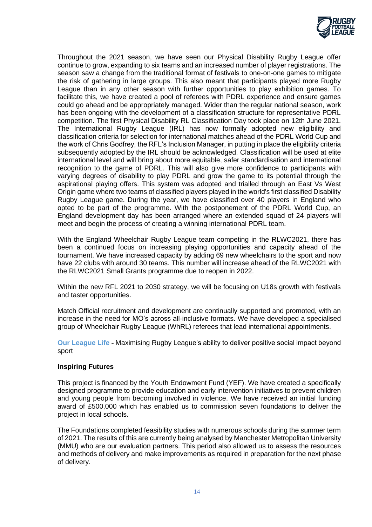

Throughout the 2021 season, we have seen our Physical Disability Rugby League offer continue to grow, expanding to six teams and an increased number of player registrations. The season saw a change from the traditional format of festivals to one-on-one games to mitigate the risk of gathering in large groups. This also meant that participants played more Rugby League than in any other season with further opportunities to play exhibition games. To facilitate this, we have created a pool of referees with PDRL experience and ensure games could go ahead and be appropriately managed. Wider than the regular national season, work has been ongoing with the development of a classification structure for representative PDRL competition. The first Physical Disability RL Classification Day took place on 12th June 2021. The International Rugby League (IRL) has now formally adopted new eligibility and classification criteria for selection for international matches ahead of the PDRL World Cup and the work of Chris Godfrey, the RFL's Inclusion Manager, in putting in place the eligibility criteria subsequently adopted by the IRL should be acknowledged. Classification will be used at elite international level and will bring about more equitable, safer standardisation and international recognition to the game of PDRL. This will also give more confidence to participants with varying degrees of disability to play PDRL and grow the game to its potential through the aspirational playing offers. This system was adopted and trialled through an East Vs West Origin game where two teams of classified players played in the world's first classified Disability Rugby League game. During the year, we have classified over 40 players in England who opted to be part of the programme. With the postponement of the PDRL World Cup, an England development day has been arranged where an extended squad of 24 players will meet and begin the process of creating a winning international PDRL team.

With the England Wheelchair Rugby League team competing in the RLWC2021, there has been a continued focus on increasing playing opportunities and capacity ahead of the tournament. We have increased capacity by adding 69 new wheelchairs to the sport and now have 22 clubs with around 30 teams. This number will increase ahead of the RLWC2021 with the RLWC2021 Small Grants programme due to reopen in 2022.

Within the new RFL 2021 to 2030 strategy, we will be focusing on U18s growth with festivals and taster opportunities.

Match Official recruitment and development are continually supported and promoted, with an increase in the need for MO's across all-inclusive formats. We have developed a specialised group of Wheelchair Rugby League (WhRL) referees that lead international appointments.

**Our League Life -** Maximising Rugby League's ability to deliver positive social impact beyond sport

#### **Inspiring Futures**

This project is financed by the Youth Endowment Fund (YEF). We have created a specifically designed programme to provide education and early intervention initiatives to prevent children and young people from becoming involved in violence. We have received an initial funding award of £500,000 which has enabled us to commission seven foundations to deliver the project in local schools.

The Foundations completed feasibility studies with numerous schools during the summer term of 2021. The results of this are currently being analysed by Manchester Metropolitan University (MMU) who are our evaluation partners. This period also allowed us to assess the resources and methods of delivery and make improvements as required in preparation for the next phase of delivery.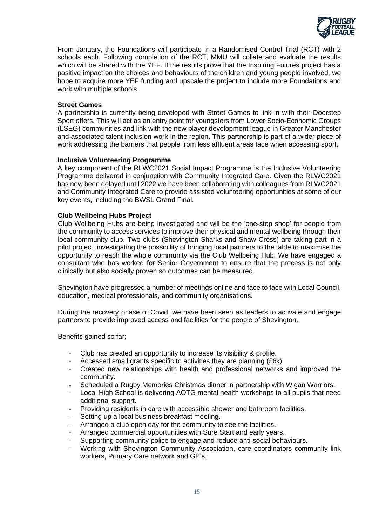

From January, the Foundations will participate in a Randomised Control Trial (RCT) with 2 schools each. Following completion of the RCT, MMU will collate and evaluate the results which will be shared with the YEF. If the results prove that the Inspiring Futures project has a positive impact on the choices and behaviours of the children and young people involved, we hope to acquire more YEF funding and upscale the project to include more Foundations and work with multiple schools.

### **Street Games**

A partnership is currently being developed with Street Games to link in with their Doorstep Sport offers. This will act as an entry point for youngsters from Lower Socio-Economic Groups (LSEG) communities and link with the new player development league in Greater Manchester and associated talent inclusion work in the region. This partnership is part of a wider piece of work addressing the barriers that people from less affluent areas face when accessing sport.

#### **Inclusive Volunteering Programme**

A key component of the RLWC2021 Social Impact Programme is the Inclusive Volunteering Programme delivered in conjunction with Community Integrated Care. Given the RLWC2021 has now been delayed until 2022 we have been collaborating with colleagues from RLWC2021 and Community Integrated Care to provide assisted volunteering opportunities at some of our key events, including the BWSL Grand Final.

### **Club Wellbeing Hubs Project**

Club Wellbeing Hubs are being investigated and will be the 'one-stop shop' for people from the community to access services to improve their physical and mental wellbeing through their local community club. Two clubs (Shevington Sharks and Shaw Cross) are taking part in a pilot project, investigating the possibility of bringing local partners to the table to maximise the opportunity to reach the whole community via the Club Wellbeing Hub. We have engaged a consultant who has worked for Senior Government to ensure that the process is not only clinically but also socially proven so outcomes can be measured.

Shevington have progressed a number of meetings online and face to face with Local Council, education, medical professionals, and community organisations.

During the recovery phase of Covid, we have been seen as leaders to activate and engage partners to provide improved access and facilities for the people of Shevington.

Benefits gained so far;

- Club has created an opportunity to increase its visibility & profile.
- Accessed small grants specific to activities they are planning (£6k).
- Created new relationships with health and professional networks and improved the community.
- Scheduled a Rugby Memories Christmas dinner in partnership with Wigan Warriors.
- Local High School is delivering AOTG mental health workshops to all pupils that need additional support.
- Providing residents in care with accessible shower and bathroom facilities.
- Setting up a local business breakfast meeting.
- Arranged a club open day for the community to see the facilities.
- Arranged commercial opportunities with Sure Start and early years.
- Supporting community police to engage and reduce anti-social behaviours.
- Working with Shevington Community Association, care coordinators community link workers, Primary Care network and GP's.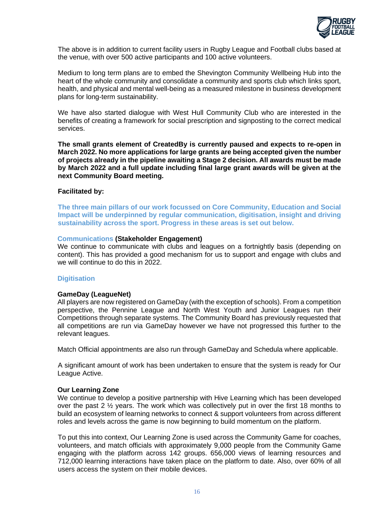

The above is in addition to current facility users in Rugby League and Football clubs based at the venue, with over 500 active participants and 100 active volunteers.

Medium to long term plans are to embed the Shevington Community Wellbeing Hub into the heart of the whole community and consolidate a community and sports club which links sport, health, and physical and mental well-being as a measured milestone in business development plans for long-term sustainability.

We have also started dialogue with West Hull Community Club who are interested in the benefits of creating a framework for social prescription and signposting to the correct medical services.

**The small grants element of CreatedBy is currently paused and expects to re-open in March 2022. No more applications for large grants are being accepted given the number of projects already in the pipeline awaiting a Stage 2 decision. All awards must be made by March 2022 and a full update including final large grant awards will be given at the next Community Board meeting.**

#### **Facilitated by:**

**The three main pillars of our work focussed on Core Community, Education and Social Impact will be underpinned by regular communication, digitisation, insight and driving sustainability across the sport. Progress in these areas is set out below.**

#### **Communications (Stakeholder Engagement)**

We continue to communicate with clubs and leagues on a fortnightly basis (depending on content). This has provided a good mechanism for us to support and engage with clubs and we will continue to do this in 2022.

#### **Digitisation**

#### **GameDay (LeagueNet)**

All players are now registered on GameDay (with the exception of schools). From a competition perspective, the Pennine League and North West Youth and Junior Leagues run their Competitions through separate systems. The Community Board has previously requested that all competitions are run via GameDay however we have not progressed this further to the relevant leagues.

Match Official appointments are also run through GameDay and Schedula where applicable.

A significant amount of work has been undertaken to ensure that the system is ready for Our League Active.

#### **Our Learning Zone**

We continue to develop a positive partnership with Hive Learning which has been developed over the past 2 ½ years. The work which was collectively put in over the first 18 months to build an ecosystem of learning networks to connect & support volunteers from across different roles and levels across the game is now beginning to build momentum on the platform.

To put this into context, Our Learning Zone is used across the Community Game for coaches, volunteers, and match officials with approximately 9,000 people from the Community Game engaging with the platform across 142 groups. 656,000 views of learning resources and 712,000 learning interactions have taken place on the platform to date. Also, over 60% of all users access the system on their mobile devices.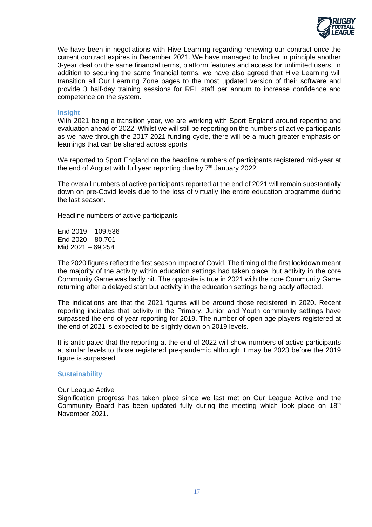

We have been in negotiations with Hive Learning regarding renewing our contract once the current contract expires in December 2021. We have managed to broker in principle another 3-year deal on the same financial terms, platform features and access for unlimited users. In addition to securing the same financial terms, we have also agreed that Hive Learning will transition all Our Learning Zone pages to the most updated version of their software and provide 3 half-day training sessions for RFL staff per annum to increase confidence and competence on the system.

#### **Insight**

With 2021 being a transition year, we are working with Sport England around reporting and evaluation ahead of 2022. Whilst we will still be reporting on the numbers of active participants as we have through the 2017-2021 funding cycle, there will be a much greater emphasis on learnings that can be shared across sports.

We reported to Sport England on the headline numbers of participants registered mid-year at the end of August with full year reporting due by  $7<sup>th</sup>$  January 2022.

The overall numbers of active participants reported at the end of 2021 will remain substantially down on pre-Covid levels due to the loss of virtually the entire education programme during the last season.

Headline numbers of active participants

End 2019 – 109,536 End 2020 – 80,701 Mid 2021 – 69,254

The 2020 figures reflect the first season impact of Covid. The timing of the first lockdown meant the majority of the activity within education settings had taken place, but activity in the core Community Game was badly hit. The opposite is true in 2021 with the core Community Game returning after a delayed start but activity in the education settings being badly affected.

The indications are that the 2021 figures will be around those registered in 2020. Recent reporting indicates that activity in the Primary, Junior and Youth community settings have surpassed the end of year reporting for 2019. The number of open age players registered at the end of 2021 is expected to be slightly down on 2019 levels.

It is anticipated that the reporting at the end of 2022 will show numbers of active participants at similar levels to those registered pre-pandemic although it may be 2023 before the 2019 figure is surpassed.

#### **Sustainability**

### **Our League Active**

Signification progress has taken place since we last met on Our League Active and the Community Board has been updated fully during the meeting which took place on  $18<sup>th</sup>$ November 2021.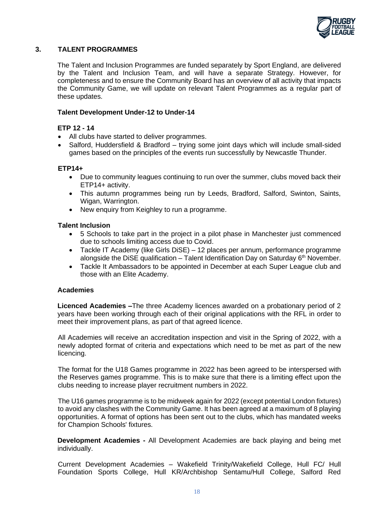

## **3. TALENT PROGRAMMES**

The Talent and Inclusion Programmes are funded separately by Sport England, are delivered by the Talent and Inclusion Team, and will have a separate Strategy. However, for completeness and to ensure the Community Board has an overview of all activity that impacts the Community Game, we will update on relevant Talent Programmes as a regular part of these updates.

#### **Talent Development Under-12 to Under-14**

#### **ETP 12 - 14**

- All clubs have started to deliver programmes.
- Salford, Huddersfield & Bradford trying some joint days which will include small-sided games based on the principles of the events run successfully by Newcastle Thunder.

### **ETP14+**

- Due to community leagues continuing to run over the summer, clubs moved back their ETP14+ activity.
- This autumn programmes being run by Leeds, Bradford, Salford, Swinton, Saints, Wigan, Warrington.
- New enquiry from Keighley to run a programme.

#### **Talent Inclusion**

- 5 Schools to take part in the project in a pilot phase in Manchester just commenced due to schools limiting access due to Covid.
- Tackle IT Academy (like Girls DiSE) 12 places per annum, performance programme alongside the DiSE qualification – Talent Identification Day on Saturday  $6<sup>th</sup>$  November.
- Tackle It Ambassadors to be appointed in December at each Super League club and those with an Elite Academy.

#### **Academies**

**Licenced Academies –**The three Academy licences awarded on a probationary period of 2 years have been working through each of their original applications with the RFL in order to meet their improvement plans, as part of that agreed licence.

All Academies will receive an accreditation inspection and visit in the Spring of 2022, with a newly adopted format of criteria and expectations which need to be met as part of the new licencing.

The format for the U18 Games programme in 2022 has been agreed to be interspersed with the Reserves games programme. This is to make sure that there is a limiting effect upon the clubs needing to increase player recruitment numbers in 2022.

The U16 games programme is to be midweek again for 2022 (except potential London fixtures) to avoid any clashes with the Community Game. It has been agreed at a maximum of 8 playing opportunities. A format of options has been sent out to the clubs, which has mandated weeks for Champion Schools' fixtures.

**Development Academies -** All Development Academies are back playing and being met individually.

Current Development Academies – Wakefield Trinity/Wakefield College, Hull FC/ Hull Foundation Sports College, Hull KR/Archbishop Sentamu/Hull College, Salford Red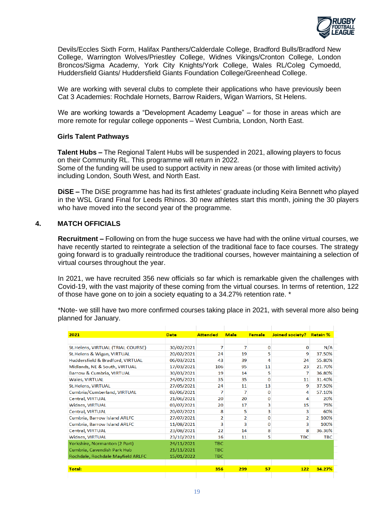

Devils/Eccles Sixth Form, Halifax Panthers/Calderdale College, Bradford Bulls/Bradford New College, Warrington Wolves/Priestley College, Widnes Vikings/Cronton College, London Broncos/Sigma Academy, York City Knights/York College, Wales RL/Coleg Cymoedd, Huddersfield Giants/ Huddersfield Giants Foundation College/Greenhead College.

We are working with several clubs to complete their applications who have previously been Cat 3 Academies: Rochdale Hornets, Barrow Raiders, Wigan Warriors, St Helens.

We are working towards a "Development Academy League" – for those in areas which are more remote for regular college opponents – West Cumbria, London, North East.

#### **Girls Talent Pathways**

**Talent Hubs –** The Regional Talent Hubs will be suspended in 2021, allowing players to focus on their Community RL. This programme will return in 2022. Some of the funding will be used to support activity in new areas (or those with limited activity) including London, South West, and North East.

**DiSE –** The DiSE programme has had its first athletes' graduate including Keira Bennett who played in the WSL Grand Final for Leeds Rhinos. 30 new athletes start this month, joining the 30 players who have moved into the second year of the programme.

## **4. MATCH OFFICIALS**

**Recruitment –** Following on from the huge success we have had with the online virtual courses, we have recently started to reintegrate a selection of the traditional face to face courses. The strategy going forward is to gradually reintroduce the traditional courses, however maintaining a selection of virtual courses throughout the year.

In 2021, we have recruited 356 new officials so far which is remarkable given the challenges with Covid-19, with the vast majority of these coming from the virtual courses. In terms of retention, 122 of those have gone on to join a society equating to a 34.27% retention rate. \*

\*Note- we still have two more confirmed courses taking place in 2021, with several more also being planned for January.

| 2021                               | <b>Date</b> | <b>Attended</b> | <b>Male</b>    | <b>Female</b> | Joined society? | <b>Retain %</b> |  |
|------------------------------------|-------------|-----------------|----------------|---------------|-----------------|-----------------|--|
|                                    |             |                 |                |               |                 |                 |  |
| St. Helens, VIRTUAL (TRIAL COURSE) | 30/02/2021  | 7               | 7              | 0             | 0               | N/A             |  |
| St. Helens & Wigan, VIRTUAL        | 20/02/2021  | 24              | 19             | 5             | 9               | 37.50%          |  |
| Huddersfield & Bradford, VIRTUAL   | 06/03/2021  | 43              | 39             | 4             | 24              | 55.80%          |  |
| Midlands, NE & South, VIRTUAL      | 17/03/2021  | 106             | 95             | 11            | 23              | 21.70%          |  |
| Barrow & Cumbria, VIRTUAL          | 30/03/2021  | 19              | 14             | 5             | 7               | 36.80%          |  |
| <b>Wales, VIRTUAL</b>              | 24/05/2021  | 35              | 35             | $\Omega$      | 11              | 31.40%          |  |
| St.Helens, VIRTUAL                 | 27/05/2021  | 24              | 11             | 13            | 9               | 37.50%          |  |
| Cumbria/Cumberland, VIRTUAL        | 02/06/2021  | 7               | 7              | $\Omega$      | 4               | 57.10%          |  |
| <b>Central, VIRTUAL</b>            | 21/06/2021  | 20              | 20             | $\bf{0}$      | 4               | 20%             |  |
| <b>Widnes, VIRTUAL</b>             | 03/07/2021  | 20              | 17             | 3             | 15              | 75%             |  |
| <b>Central, VIRTUAL</b>            | 20/07/2021  | 8               | 5              | 3             | 3               | 60%             |  |
| Cumbria, Barrow Island ARLFC       | 27/07/2021  | $\overline{2}$  | $\overline{2}$ | $\Omega$      | 2               | 100%            |  |
| Cumbria, Barrow Island ARLFC       | 11/08/2021  | 3               | 3              | $\Omega$      | 3               | 100%            |  |
| <b>Central, VIRTUAL</b>            | 23/08/2021  | 22              | 14             | 8             | 8               | 36.36%          |  |
| <b>Widnes, VIRTUAL</b>             | 23/10/2021  | 16              | 11             | 5             | <b>TBC</b>      | TBC.            |  |
| Yorkshire, Normanton (2 Part)      | 24/11/2021  | TBC.            |                |               |                 |                 |  |
| Cumbria, Cavendish Park Hub        | 21/11/2021  | <b>TBC</b>      |                |               |                 |                 |  |
| Rochdale, Rochdale Mayfield ARLFC  | 15/01/2022  | <b>TBC</b>      |                |               |                 |                 |  |
|                                    |             |                 |                |               |                 |                 |  |
| <b>Total:</b>                      |             | 356             | 299            | 57            | 122             | 34.27%          |  |
|                                    |             |                 |                |               |                 |                 |  |